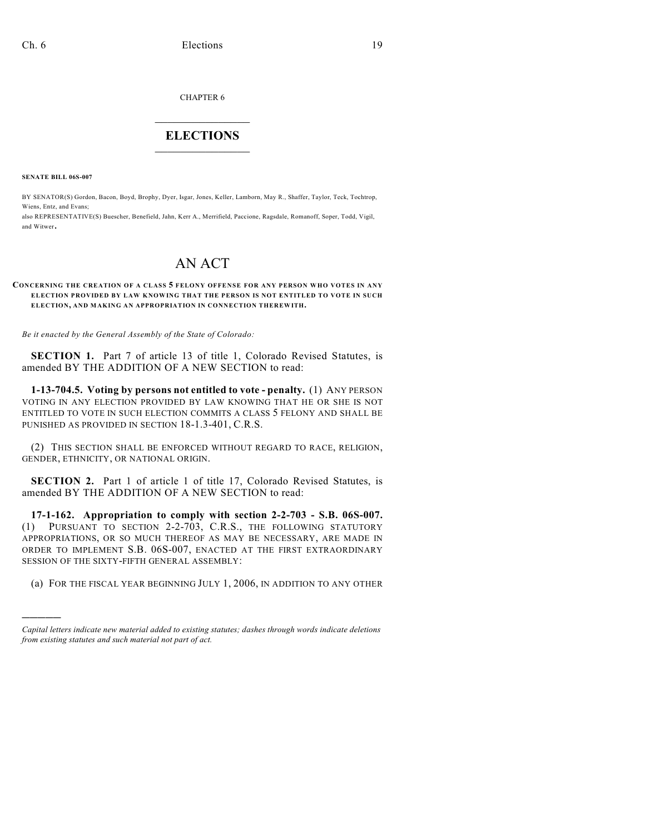CHAPTER 6

## $\mathcal{L}_\text{max}$  . The set of the set of the set of the set of the set of the set of the set of the set of the set of the set of the set of the set of the set of the set of the set of the set of the set of the set of the set **ELECTIONS**  $\_$

**SENATE BILL 06S-007**

)))))

BY SENATOR(S) Gordon, Bacon, Boyd, Brophy, Dyer, Isgar, Jones, Keller, Lamborn, May R., Shaffer, Taylor, Teck, Tochtrop, Wiens, Entz, and Evans;

also REPRESENTATIVE(S) Buescher, Benefield, Jahn, Kerr A., Merrifield, Paccione, Ragsdale, Romanoff, Soper, Todd, Vigil, and Witwer.

# AN ACT

#### **CONCERNING THE CREATION OF A CLASS 5 FELONY OFFENSE FOR ANY PERSON WHO VOTES IN ANY ELECTION PROVIDED BY LAW KNOWING THAT THE PERSON IS NOT ENTITLED TO VOTE IN SUCH ELECTION, AND MAKING AN APPROPRIATION IN CONNECTION THEREWITH.**

*Be it enacted by the General Assembly of the State of Colorado:*

**SECTION 1.** Part 7 of article 13 of title 1, Colorado Revised Statutes, is amended BY THE ADDITION OF A NEW SECTION to read:

**1-13-704.5. Voting by persons not entitled to vote - penalty.** (1) ANY PERSON VOTING IN ANY ELECTION PROVIDED BY LAW KNOWING THAT HE OR SHE IS NOT ENTITLED TO VOTE IN SUCH ELECTION COMMITS A CLASS 5 FELONY AND SHALL BE PUNISHED AS PROVIDED IN SECTION 18-1.3-401, C.R.S.

(2) THIS SECTION SHALL BE ENFORCED WITHOUT REGARD TO RACE, RELIGION, GENDER, ETHNICITY, OR NATIONAL ORIGIN.

**SECTION 2.** Part 1 of article 1 of title 17, Colorado Revised Statutes, is amended BY THE ADDITION OF A NEW SECTION to read:

**17-1-162. Appropriation to comply with section 2-2-703 - S.B. 06S-007.** (1) PURSUANT TO SECTION 2-2-703, C.R.S., THE FOLLOWING STATUTORY APPROPRIATIONS, OR SO MUCH THEREOF AS MAY BE NECESSARY, ARE MADE IN ORDER TO IMPLEMENT S.B. 06S-007, ENACTED AT THE FIRST EXTRAORDINARY SESSION OF THE SIXTY-FIFTH GENERAL ASSEMBLY:

(a) FOR THE FISCAL YEAR BEGINNING JULY 1, 2006, IN ADDITION TO ANY OTHER

*Capital letters indicate new material added to existing statutes; dashes through words indicate deletions from existing statutes and such material not part of act.*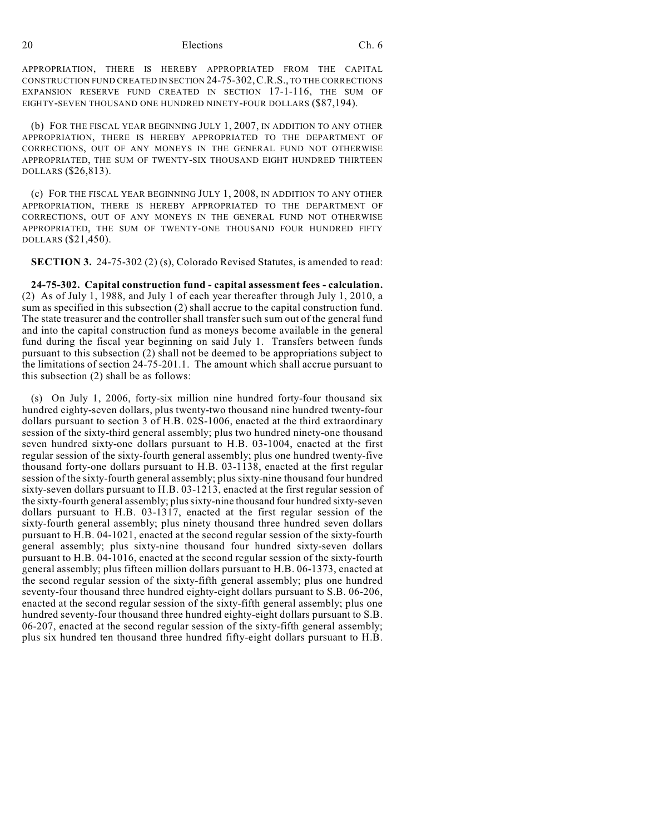#### 20 Elections Ch. 6

APPROPRIATION, THERE IS HEREBY APPROPRIATED FROM THE CAPITAL CONSTRUCTION FUND CREATED IN SECTION 24-75-302,C.R.S., TO THE CORRECTIONS EXPANSION RESERVE FUND CREATED IN SECTION 17-1-116, THE SUM OF EIGHTY-SEVEN THOUSAND ONE HUNDRED NINETY-FOUR DOLLARS (\$87,194).

(b) FOR THE FISCAL YEAR BEGINNING JULY 1, 2007, IN ADDITION TO ANY OTHER APPROPRIATION, THERE IS HEREBY APPROPRIATED TO THE DEPARTMENT OF CORRECTIONS, OUT OF ANY MONEYS IN THE GENERAL FUND NOT OTHERWISE APPROPRIATED, THE SUM OF TWENTY-SIX THOUSAND EIGHT HUNDRED THIRTEEN DOLLARS (\$26,813).

(c) FOR THE FISCAL YEAR BEGINNING JULY 1, 2008, IN ADDITION TO ANY OTHER APPROPRIATION, THERE IS HEREBY APPROPRIATED TO THE DEPARTMENT OF CORRECTIONS, OUT OF ANY MONEYS IN THE GENERAL FUND NOT OTHERWISE APPROPRIATED, THE SUM OF TWENTY-ONE THOUSAND FOUR HUNDRED FIFTY DOLLARS (\$21,450).

**SECTION 3.** 24-75-302 (2) (s), Colorado Revised Statutes, is amended to read:

**24-75-302. Capital construction fund - capital assessment fees - calculation.** (2) As of July 1, 1988, and July 1 of each year thereafter through July 1, 2010, a sum as specified in this subsection (2) shall accrue to the capital construction fund. The state treasurer and the controller shall transfer such sum out of the general fund and into the capital construction fund as moneys become available in the general fund during the fiscal year beginning on said July 1. Transfers between funds pursuant to this subsection (2) shall not be deemed to be appropriations subject to the limitations of section 24-75-201.1. The amount which shall accrue pursuant to this subsection (2) shall be as follows:

(s) On July 1, 2006, forty-six million nine hundred forty-four thousand six hundred eighty-seven dollars, plus twenty-two thousand nine hundred twenty-four dollars pursuant to section 3 of H.B. 02S-1006, enacted at the third extraordinary session of the sixty-third general assembly; plus two hundred ninety-one thousand seven hundred sixty-one dollars pursuant to H.B. 03-1004, enacted at the first regular session of the sixty-fourth general assembly; plus one hundred twenty-five thousand forty-one dollars pursuant to H.B. 03-1138, enacted at the first regular session of the sixty-fourth general assembly; plus sixty-nine thousand four hundred sixty-seven dollars pursuant to H.B. 03-1213, enacted at the first regular session of the sixty-fourth general assembly; plus sixty-nine thousand four hundred sixty-seven dollars pursuant to H.B. 03-1317, enacted at the first regular session of the sixty-fourth general assembly; plus ninety thousand three hundred seven dollars pursuant to H.B. 04-1021, enacted at the second regular session of the sixty-fourth general assembly; plus sixty-nine thousand four hundred sixty-seven dollars pursuant to H.B. 04-1016, enacted at the second regular session of the sixty-fourth general assembly; plus fifteen million dollars pursuant to H.B. 06-1373, enacted at the second regular session of the sixty-fifth general assembly; plus one hundred seventy-four thousand three hundred eighty-eight dollars pursuant to S.B. 06-206, enacted at the second regular session of the sixty-fifth general assembly; plus one hundred seventy-four thousand three hundred eighty-eight dollars pursuant to S.B. 06-207, enacted at the second regular session of the sixty-fifth general assembly; plus six hundred ten thousand three hundred fifty-eight dollars pursuant to H.B.